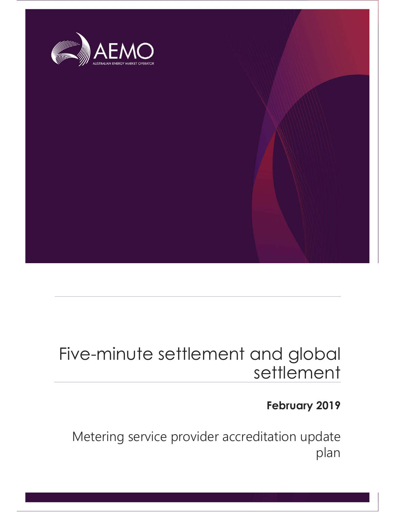

## Five-minute settlement and global settlement

### February 2019

 Metering service provider accreditation update plan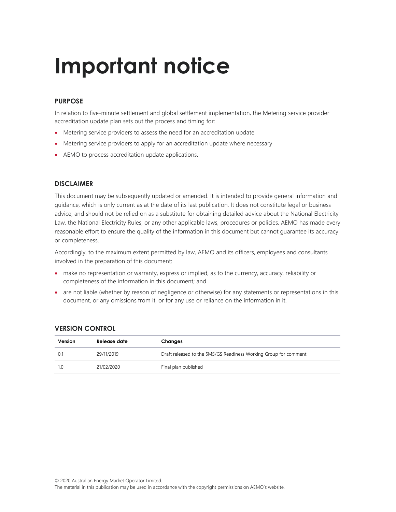## Important notice

#### PURPOSE

In relation to five-minute settlement and global settlement implementation, the Metering service provider accreditation update plan sets out the process and timing for:

- Metering service providers to assess the need for an accreditation update
- Metering service providers to apply for an accreditation update where necessary
- AEMO to process accreditation update applications.

#### DISCLAIMER

This document may be subsequently updated or amended. It is intended to provide general information and guidance, which is only current as at the date of its last publication. It does not constitute legal or business advice, and should not be relied on as a substitute for obtaining detailed advice about the National Electricity Law, the National Electricity Rules, or any other applicable laws, procedures or policies. AEMO has made every reasonable effort to ensure the quality of the information in this document but cannot guarantee its accuracy or completeness.

Accordingly, to the maximum extent permitted by law, AEMO and its officers, employees and consultants involved in the preparation of this document:

- make no representation or warranty, express or implied, as to the currency, accuracy, reliability or completeness of the information in this document; and
- are not liable (whether by reason of negligence or otherwise) for any statements or representations in this document, or any omissions from it, or for any use or reliance on the information in it.

| Version     | Release date | Changes                                                          |  |
|-------------|--------------|------------------------------------------------------------------|--|
| $0^{\circ}$ | 29/11/2019   | Draft released to the 5MS/GS Readiness Working Group for comment |  |
| 1.0         | 21/02/2020   | Final plan published                                             |  |

#### VERSION CONTROL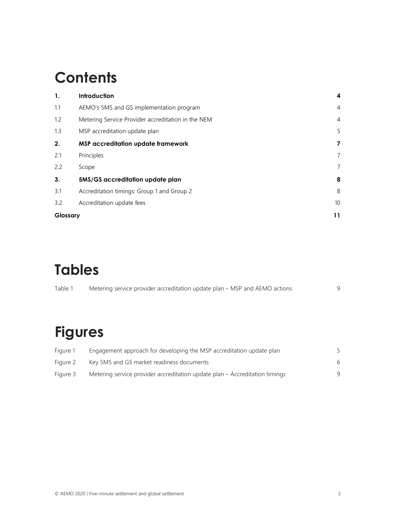### **Contents**

| $\mathbf{1}$ . | Introduction                                       | 4               |
|----------------|----------------------------------------------------|-----------------|
| 1.1            | AEMO's 5MS and GS implementation program           | $\overline{4}$  |
| 1.2            | Metering Service Provider accreditation in the NEM | $\overline{4}$  |
| 1.3            | MSP accreditation update plan                      | 5               |
| 2.             | <b>MSP accreditation update framework</b>          | 7               |
| 2.1            | Principles                                         | 7               |
| 2.2            | Scope                                              | $\overline{7}$  |
| 3.             | 5MS/GS accreditation update plan                   | 8               |
| 3.1            | Accreditation timings: Group 1 and Group 2         | 8               |
| 3.2            | Accreditation update fees                          | 10 <sup>°</sup> |
| Glossary       |                                                    | 11              |

### Tables

| Table 1 | Metering service provider accreditation update plan - MSP and AEMO actions |  |
|---------|----------------------------------------------------------------------------|--|
|         |                                                                            |  |

## Figures

| Figure 1 | Engagement approach for developing the MSP accreditation update plan        |   |
|----------|-----------------------------------------------------------------------------|---|
| Figure 2 | Key 5MS and GS market readiness documents                                   | 6 |
| Figure 3 | Metering service provider accreditation update plan – Accreditation timings | q |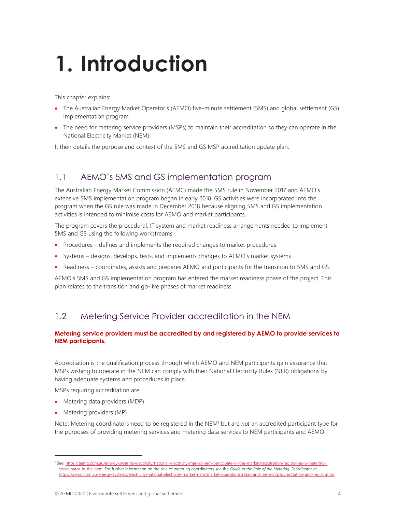# 1. Introduction

This chapter explains:

- The Australian Energy Market Operator's (AEMO) five-minute settlement (5MS) and global settlement (GS) implementation program
- The need for metering service providers (MSPs) to maintain their accreditation so they can operate in the National Electricity Market (NEM).

It then details the purpose and context of the 5MS and GS MSP accreditation update plan.

#### 1.1 AEMO's 5MS and GS implementation program

The Australian Energy Market Commission (AEMC) made the 5MS rule in November 2017 and AEMO's extensive 5MS implementation program began in early 2018. GS activities were incorporated into the program when the GS rule was made in December 2018 because aligning 5MS and GS implementation activities is intended to minimise costs for AEMO and market participants.

The program covers the procedural, IT system and market readiness arrangements needed to implement 5MS and GS using the following workstreams:

- Procedures defines and implements the required changes to market procedures
- Systems designs, develops, tests, and implements changes to AEMO's market systems
- Readiness coordinates, assists and prepares AEMO and participants for the transition to 5MS and GS.

AEMO's 5MS and GS implementation program has entered the market readiness phase of the project. This plan relates to the transition and go-live phases of market readiness.

#### 1.2 Metering Service Provider accreditation in the NEM

#### Metering service providers must be accredited by and registered by AEMO to provide services to NEM participants.

Accreditation is the qualification process through which AEMO and NEM participants gain assurance that MSPs wishing to operate in the NEM can comply with their National Electricity Rules (NER) obligations by having adequate systems and procedures in place.

MSPs requiring accreditation are:

- Metering data providers (MDP)
- Metering providers (MP)

Note: Metering coordinators need to be registered in the NEM<sup>1</sup> but are not an accredited participant type for the purposes of providing metering services and metering data services to NEM participants and AEMO.

<sup>1</sup> See: https://aemo.com.au/energy-systems/electricity/national-electricity-market-nem/participate-in-the-market/registration/register-as-a-meteringcoordinator-in-the-nem. For further information on the role of metering coordinators see the Guide to the Role of the Metering Coordinator at: https://aemo.com.au/energy-systems/electricity/national-electricity-market-nem/market-operations/retail-and-metering/accreditation-and-registration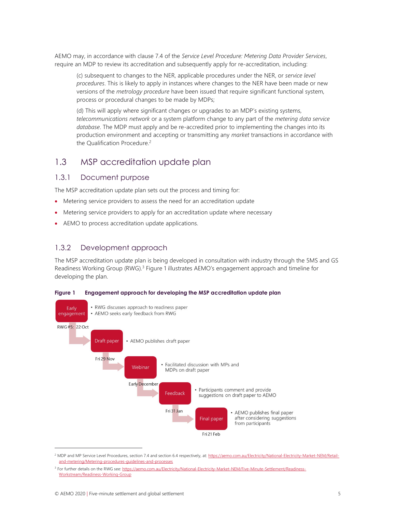AEMO may, in accordance with clause 7.4 of the Service Level Procedure: Metering Data Provider Services, require an MDP to review its accreditation and subsequently apply for re-accreditation, including:

(c) subsequent to changes to the NER, applicable procedures under the NER, or service level procedures. This is likely to apply in instances where changes to the NER have been made or new versions of the *metrology procedure* have been issued that require significant functional system, process or procedural changes to be made by MDPs;

(d) This will apply where significant changes or upgrades to an MDP's existing systems, telecommunications network or a system platform change to any part of the metering data service database. The MDP must apply and be re-accredited prior to implementing the changes into its production environment and accepting or transmitting any market transactions in accordance with the Qualification Procedure.<sup>2</sup>

#### 1.3 MSP accreditation update plan

#### 1.3.1 Document purpose

The MSP accreditation update plan sets out the process and timing for:

- Metering service providers to assess the need for an accreditation update
- Metering service providers to apply for an accreditation update where necessary
- AEMO to process accreditation update applications.

#### 1.3.2 Development approach

The MSP accreditation update plan is being developed in consultation with industry through the 5MS and GS Readiness Working Group (RWG).<sup>3</sup> Figure 1 illustrates AEMO's engagement approach and timeline for developing the plan.



Figure 1 Engagement approach for developing the MSP accreditation update plan

<sup>&</sup>lt;sup>2</sup> MDP and MP Service Level Procedures, section 7.4 and section 6.4 respectively, at: https://aemo.com.au/Electricity/National-Electricity-Market-NEM/Retailand-metering/Metering-procedures-guidelines-and-processes

<sup>&</sup>lt;sup>3</sup> For further details on the RWG see: https://aemo.com.au/Electricity/National-Electricity-Market-NEM/Five-Minute-Settlement/Readiness-Workstream/Readiness-Working-Group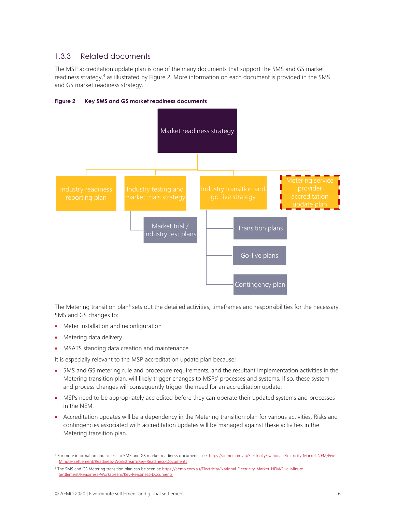#### 1.3.3 Related documents

The MSP accreditation update plan is one of the many documents that support the 5MS and GS market readiness strategy,<sup>4</sup> as illustrated by Figure 2. More information on each document is provided in the 5MS and GS market readiness strategy.



Figure 2 Key 5MS and GS market readiness documents

The Metering transition plan<sup>5</sup> sets out the detailed activities, timeframes and responsibilities for the necessary 5MS and GS changes to:

- Meter installation and reconfiguration
- Metering data delivery
- MSATS standing data creation and maintenance

It is especially relevant to the MSP accreditation update plan because:

- 5MS and GS metering rule and procedure requirements, and the resultant implementation activities in the Metering transition plan, will likely trigger changes to MSPs' processes and systems. If so, these system and process changes will consequently trigger the need for an accreditation update.
- MSPs need to be appropriately accredited before they can operate their updated systems and processes in the NEM.
- Accreditation updates will be a dependency in the Metering transition plan for various activities. Risks and contingencies associated with accreditation updates will be managed against these activities in the Metering transition plan.

<sup>4</sup> For more information and access to 5MS and GS market readiness documents see: https://aemo.com.au/Electricity/National-Electricity-Market-NEM/Five-Minute-Settlement/Readiness-Workstream/Key-Readiness-Documents

<sup>&</sup>lt;sup>5</sup> The 5MS and GS Metering transition plan can be seen at: https://aemo.com.au/Electricity/National-Electricity-Market-NEM/Five-Minute-Settlement/Readiness-Workstream/Key-Readiness-Documents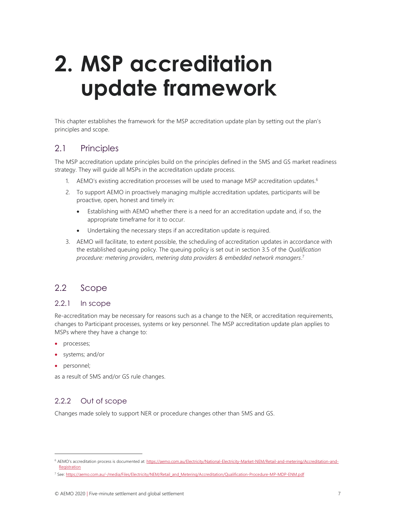## 2. MSP accreditation update framework

This chapter establishes the framework for the MSP accreditation update plan by setting out the plan's principles and scope.

#### 2.1 Principles

The MSP accreditation update principles build on the principles defined in the 5MS and GS market readiness strategy. They will guide all MSPs in the accreditation update process.

- 1. AEMO's existing accreditation processes will be used to manage MSP accreditation updates.<sup>6</sup>
- 2. To support AEMO in proactively managing multiple accreditation updates, participants will be proactive, open, honest and timely in:
	- Establishing with AEMO whether there is a need for an accreditation update and, if so, the appropriate timeframe for it to occur.
	- Undertaking the necessary steps if an accreditation update is required.
- 3. AEMO will facilitate, to extent possible, the scheduling of accreditation updates in accordance with the established queuing policy. The queuing policy is set out in section 3.5 of the *Qualification* procedure: metering providers, metering data providers & embedded network managers. 7

#### 2.2 Scope

#### 2.2.1 In scope

Re-accreditation may be necessary for reasons such as a change to the NER, or accreditation requirements, changes to Participant processes, systems or key personnel. The MSP accreditation update plan applies to MSPs where they have a change to:

- processes;
- systems; and/or
- personnel;

as a result of 5MS and/or GS rule changes.

#### 2.2.2 Out of scope

Changes made solely to support NER or procedure changes other than 5MS and GS.

<sup>&</sup>lt;sup>6</sup> AEMO's accreditation process is documented at: https://aemo.com.au/Electricity/National-Electricity-Market-NEM/Retail-and-metering/Accreditation-and-**Registration** 

<sup>7</sup> See: https://aemo.com.au/-/media/Files/Electricity/NEM/Retail\_and\_Metering/Accreditation/Qualification-Procedure-MP-MDP-ENM.pdf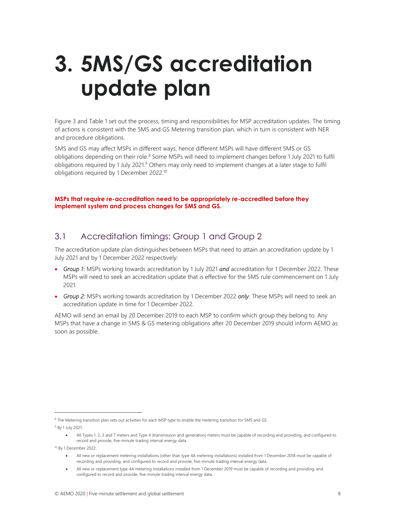## 3. 5MS/GS accreditation update plan

Figure 3 and Table 1 set out the process, timing and responsibilities for MSP accreditation updates. The timing of actions is consistent with the 5MS and GS Metering transition plan, which in turn is consistent with NER and procedure obligations.

5MS and GS may affect MSPs in different ways, hence different MSPs will have different 5MS or GS obligations depending on their role.<sup>8</sup> Some MSPs will need to implement changes before 1 July 2021 to fulfil obligations required by 1 July 2021.<sup>9</sup> Others may only need to implement changes at a later stage to fulfil obligations required by 1 December 2022.<sup>10</sup>

#### MSPs that require re-accreditation need to be appropriately re-accredited before they implement system and process changes for 5MS and GS.

#### 3.1 Accreditation timings: Group 1 and Group 2

The accreditation update plan distinguishes between MSPs that need to attain an accreditation update by 1 July 2021 and by 1 December 2022 respectively:

- Group 1: MSPs working towards accreditation by 1 July 2021 and accreditation for 1 December 2022. These MSPs will need to seek an accreditation update that is effective for the 5MS rule commencement on 1 July 2021.
- Group 2: MSPs working towards accreditation by 1 December 2022 only. These MSPs will need to seek an accreditation update in time for 1 December 2022.

AEMO will send an email by 20 December 2019 to each MSP to confirm which group they belong to. Any MSPs that have a change in 5MS & GS metering obligations after 20 December 2019 should inform AEMO as soon as possible.

<sup>&</sup>lt;sup>8</sup> The Metering transition plan sets out activities for each MSP type to enable the metering transition for 5MS and GS. <sup>9</sup> By 1 July 2021:

All Types 1, 2, 3 and 7 meters and Type 4 (transmission and generation) meters must be capable of recording and providing, and configured to record and provide, five-minute trading interval energy data.

<sup>10</sup> By 1 December 2022:

All new or replacement metering installations (other than type 4A metering installations) installed from 1 December 2018 must be capable of recording and providing, and configured to record and provide, five-minute trading interval energy data.

All new or replacement type 4A metering installations installed from 1 December 2019 must be capable of recording and providing, and configured to record and provide, five-minute trading interval energy data.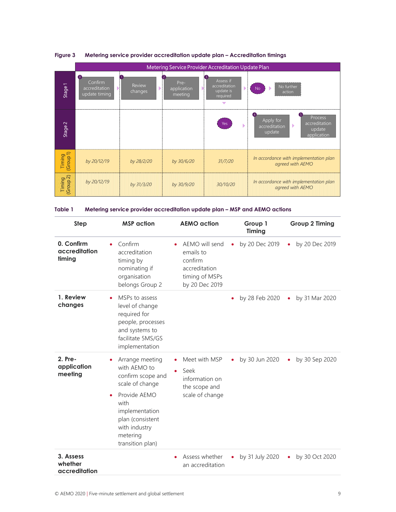| Figure 3                                                         | Metering service provider accreditation update plan - Accreditation timings |                                | Metering Service Provider Accreditation Update Plan                             |                                                                                                |
|------------------------------------------------------------------|-----------------------------------------------------------------------------|--------------------------------|---------------------------------------------------------------------------------|------------------------------------------------------------------------------------------------|
| $\bullet$<br>Confirm<br>Stage1<br>accreditation<br>update timing | Review<br>changes                                                           | Pre-<br>application<br>meeting | Assess if<br>accreditation<br>update is<br>required<br>$\overline{\phantom{0}}$ | No further<br>No<br>action                                                                     |
| Stage <sub>2</sub>                                               |                                                                             |                                | Yes                                                                             | Process<br>Apply for<br>accreditation<br>ь<br>accreditation<br>update<br>update<br>application |
| Timing<br>(Group 1)<br>by 20/12/19                               | by 28/2/20                                                                  | by 30/6/20                     | 31/7/20                                                                         | In accordance with implementation plan<br>agreed with AEMO                                     |
| Timing<br>(Group 2)<br>by 20/12/19                               | by 31/3/20                                                                  | by 30/9/20                     | 30/10/20                                                                        | In accordance with implementation plan<br>agreed with AEMO                                     |

#### Figure 3 Metering service provider accreditation update plan – Accreditation timings

| Table 1 | Metering service provider accreditation update plan – MSP and AEMO actions |  |  |  |
|---------|----------------------------------------------------------------------------|--|--|--|
|         |                                                                            |  |  |  |

| <b>Step</b>                           | <b>MSP</b> action                                                                                                                                                                                   | <b>AEMO</b> action                                                                          | Group 1<br>Timing           | <b>Group 2 Timing</b> |
|---------------------------------------|-----------------------------------------------------------------------------------------------------------------------------------------------------------------------------------------------------|---------------------------------------------------------------------------------------------|-----------------------------|-----------------------|
| 0. Confirm<br>accreditation<br>timing | Confirm<br>accreditation<br>timing by<br>nominating if<br>organisation<br>belongs Group 2                                                                                                           | AEMO will send<br>emails to<br>confirm<br>accreditation<br>timing of MSPs<br>by 20 Dec 2019 | by 20 Dec 2019<br>$\bullet$ | by 20 Dec 2019<br>٠   |
| 1. Review<br>changes                  | MSPs to assess<br>level of change<br>required for<br>people, processes<br>and systems to<br>facilitate 5MS/GS<br>implementation                                                                     |                                                                                             | by 28 Feb 2020              | by 31 Mar 2020<br>٠   |
| 2. Pre-<br>application<br>meeting     | Arrange meeting<br>with AEMO to<br>confirm scope and<br>scale of change<br>Provide AEMO<br>$\bullet$<br>with<br>implementation<br>plan (consistent<br>with industry<br>metering<br>transition plan) | Meet with MSP<br>Seek<br>$\bullet$<br>information on<br>the scope and<br>scale of change    | by 30 Jun 2020<br>$\bullet$ | by 30 Sep 2020<br>٠   |
| 3. Assess<br>whether<br>accreditation |                                                                                                                                                                                                     | Assess whether<br>٠<br>an accreditation                                                     | by 31 July 2020             | by 30 Oct 2020<br>٠   |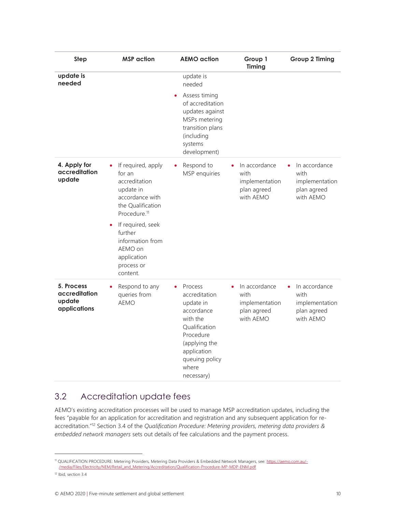| Step                                                  | <b>MSP</b> action                                                                                                                                                                                                                                   | <b>AEMO</b> action                                                                                                                                                     | Group 1<br>Timing                                                   | <b>Group 2 Timing</b>                                               |
|-------------------------------------------------------|-----------------------------------------------------------------------------------------------------------------------------------------------------------------------------------------------------------------------------------------------------|------------------------------------------------------------------------------------------------------------------------------------------------------------------------|---------------------------------------------------------------------|---------------------------------------------------------------------|
| update is<br>needed                                   |                                                                                                                                                                                                                                                     | update is<br>needed                                                                                                                                                    |                                                                     |                                                                     |
|                                                       |                                                                                                                                                                                                                                                     | Assess timing<br>$\bullet$<br>of accreditation<br>updates against<br>MSPs metering<br>transition plans<br>(including<br>systems<br>development)                        |                                                                     |                                                                     |
| 4. Apply for<br>accreditation<br>update               | If required, apply<br>for an<br>accreditation<br>update in<br>accordance with<br>the Qualification<br>Procedure. <sup>11</sup><br>If required, seek<br>$\bullet$<br>further<br>information from<br>AEMO on<br>application<br>process or<br>content. | Respond to<br>MSP enquiries                                                                                                                                            | In accordance<br>with<br>implementation<br>plan agreed<br>with AEMO | In accordance<br>with<br>implementation<br>plan agreed<br>with AEMO |
| 5. Process<br>accreditation<br>update<br>applications | Respond to any<br>queries from<br><b>AEMO</b>                                                                                                                                                                                                       | Process<br>accreditation<br>update in<br>accordance<br>with the<br>Qualification<br>Procedure<br>(applying the<br>application<br>queuing policy<br>where<br>necessary) | In accordance<br>with<br>implementation<br>plan agreed<br>with AEMO | In accordance<br>with<br>implementation<br>plan agreed<br>with AEMO |

#### 3.2 Accreditation update fees

AEMO's existing accreditation processes will be used to manage MSP accreditation updates, including the fees "payable for an application for accreditation and registration and any subsequent application for reaccreditation."<sup>12</sup> Section 3.4 of the Qualification Procedure: Metering providers, metering data providers & embedded network managers sets out details of fee calculations and the payment process.

<sup>11</sup> QUALIFICATION PROCEDURE: Metering Providers, Metering Data Providers & Embedded Network Managers, see: https://aemo.com.au/- /media/Files/Electricity/NEM/Retail\_and\_Metering/Accreditation/Qualification-Procedure-MP-MDP-ENM.pdf

<sup>&</sup>lt;sup>12</sup> Ibid, section 3.4